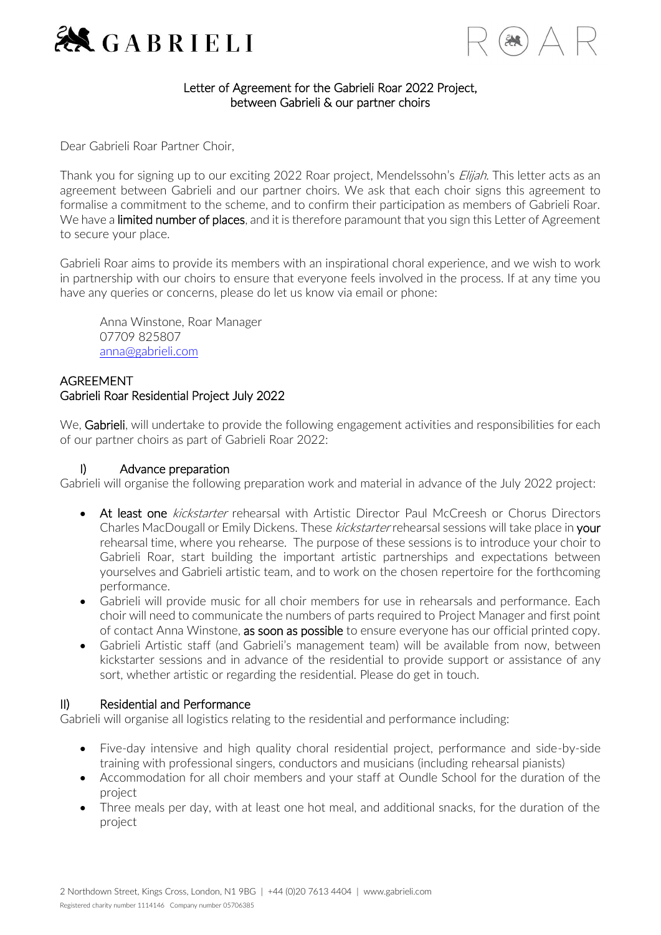



# Letter of Agreement for the Gabrieli Roar 2022 Project, between Gabrieli & our partner choirs

Dear Gabrieli Roar Partner Choir,

Thank you for signing up to our exciting 2022 Roar project, Mendelssohn's *Elijah*. This letter acts as an agreement between Gabrieli and our partner choirs. We ask that each choir signs this agreement to formalise a commitment to the scheme, and to confirm their participation as members of Gabrieli Roar. We have a limited number of places, and it is therefore paramount that you sign this Letter of Agreement to secure your place.

Gabrieli Roar aims to provide its members with an inspirational choral experience, and we wish to work in partnership with our choirs to ensure that everyone feels involved in the process. If at any time you have any queries or concerns, please do let us know via email or phone:

Anna Winstone, Roar Manager 07709 825807 [anna@gabrieli.com](mailto:anna@gabrieli.com)

# **AGREEMENT** Gabrieli Roar Residential Project July 2022

We, Gabrieli, will undertake to provide the following engagement activities and responsibilities for each of our partner choirs as part of Gabrieli Roar 2022:

#### I) Advance preparation

Gabrieli will organise the following preparation work and material in advance of the July 2022 project:

- At least one *kickstarter* rehearsal with Artistic Director Paul McCreesh or Chorus Directors Charles MacDougall or Emily Dickens. These kickstarter rehearsal sessions will take place in your rehearsal time, where you rehearse. The purpose of these sessions is to introduce your choir to Gabrieli Roar, start building the important artistic partnerships and expectations between yourselves and Gabrieli artistic team, and to work on the chosen repertoire for the forthcoming performance.
- Gabrieli will provide music for all choir members for use in rehearsals and performance. Each choir will need to communicate the numbers of parts required to Project Manager and first point of contact Anna Winstone, as soon as possible to ensure everyone has our official printed copy.
- Gabrieli Artistic staff (and Gabrieli's management team) will be available from now, between kickstarter sessions and in advance of the residential to provide support or assistance of any sort, whether artistic or regarding the residential. Please do get in touch.

# II) Residential and Performance

Gabrieli will organise all logistics relating to the residential and performance including:

- Five-day intensive and high quality choral residential project, performance and side-by-side training with professional singers, conductors and musicians (including rehearsal pianists)
- Accommodation for all choir members and your staff at Oundle School for the duration of the project
- Three meals per day, with at least one hot meal, and additional snacks, for the duration of the project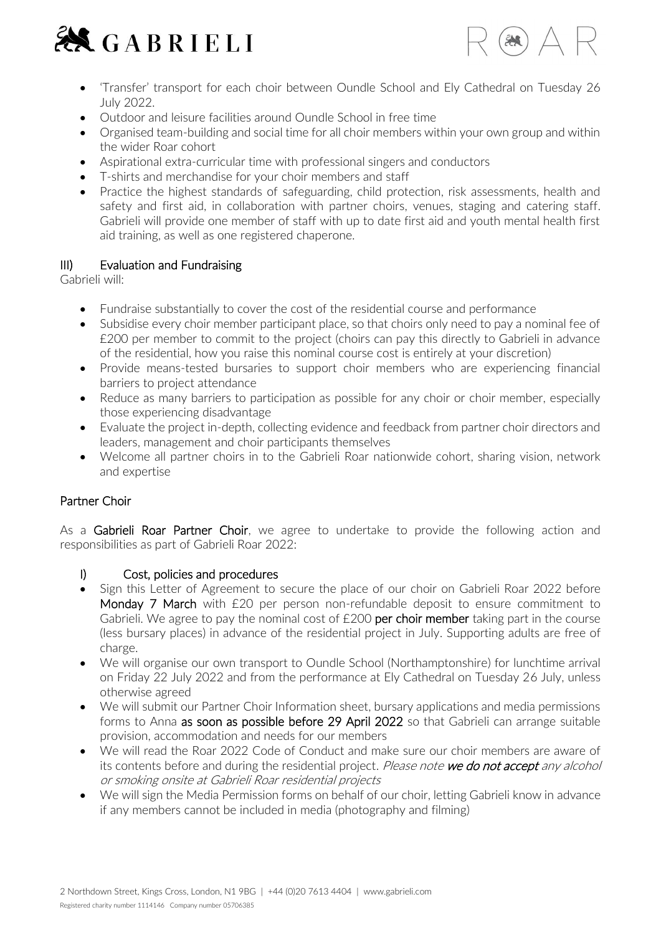



- 'Transfer' transport for each choir between Oundle School and Ely Cathedral on Tuesday 26 July 2022.
- Outdoor and leisure facilities around Oundle School in free time
- Organised team-building and social time for all choir members within your own group and within the wider Roar cohort
- Aspirational extra-curricular time with professional singers and conductors
- T-shirts and merchandise for your choir members and staff
- Practice the highest standards of safeguarding, child protection, risk assessments, health and safety and first aid, in collaboration with partner choirs, venues, staging and catering staff. Gabrieli will provide one member of staff with up to date first aid and youth mental health first aid training, as well as one registered chaperone.

#### III) Evaluation and Fundraising

Gabrieli will:

- Fundraise substantially to cover the cost of the residential course and performance
- Subsidise every choir member participant place, so that choirs only need to pay a nominal fee of £200 per member to commit to the project (choirs can pay this directly to Gabrieli in advance of the residential, how you raise this nominal course cost is entirely at your discretion)
- Provide means-tested bursaries to support choir members who are experiencing financial barriers to project attendance
- Reduce as many barriers to participation as possible for any choir or choir member, especially those experiencing disadvantage
- Evaluate the project in-depth, collecting evidence and feedback from partner choir directors and leaders, management and choir participants themselves
- Welcome all partner choirs in to the Gabrieli Roar nationwide cohort, sharing vision, network and expertise

# Partner Choir

As a Gabrieli Roar Partner Choir, we agree to undertake to provide the following action and responsibilities as part of Gabrieli Roar 2022:

#### I) Cost, policies and procedures

- Sign this Letter of Agreement to secure the place of our choir on Gabrieli Roar 2022 before Monday 7 March with £20 per person non-refundable deposit to ensure commitment to Gabrieli. We agree to pay the nominal cost of  $£200$  per choir member taking part in the course (less bursary places) in advance of the residential project in July. Supporting adults are free of charge.
- We will organise our own transport to Oundle School (Northamptonshire) for lunchtime arrival on Friday 22 July 2022 and from the performance at Ely Cathedral on Tuesday 26 July, unless otherwise agreed
- We will submit our Partner Choir Information sheet, bursary applications and media permissions forms to Anna as soon as possible before 29 April 2022 so that Gabrieli can arrange suitable provision, accommodation and needs for our members
- We will read the Roar 2022 Code of Conduct and make sure our choir members are aware of its contents before and during the residential project. Please note we do not accept any alcohol or smoking onsite at Gabrieli Roar residential projects
- We will sign the Media Permission forms on behalf of our choir, letting Gabrieli know in advance if any members cannot be included in media (photography and filming)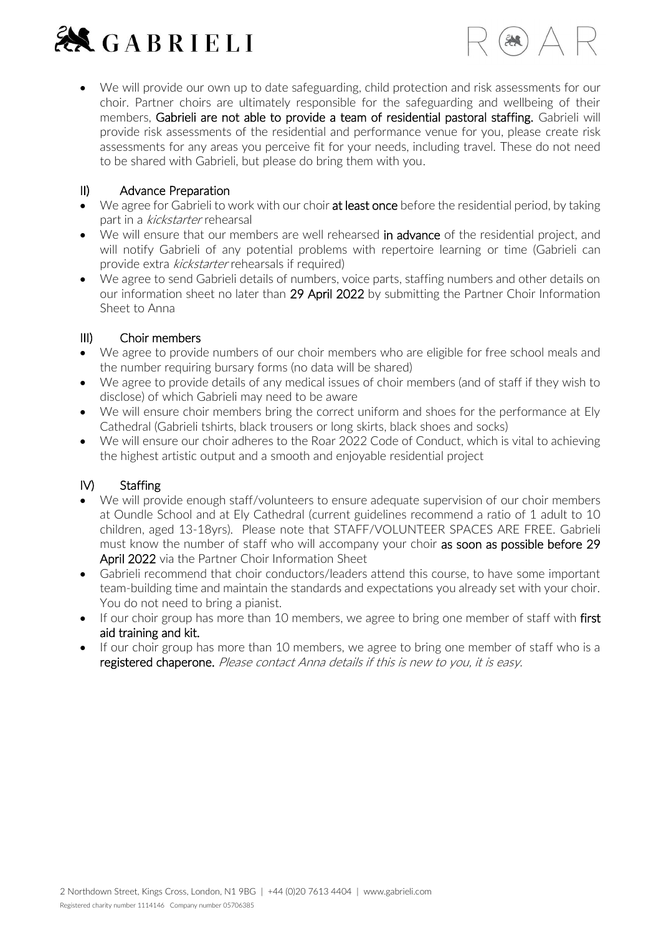



• We will provide our own up to date safeguarding, child protection and risk assessments for our choir. Partner choirs are ultimately responsible for the safeguarding and wellbeing of their members, Gabrieli are not able to provide a team of residential pastoral staffing. Gabrieli will provide risk assessments of the residential and performance venue for you, please create risk assessments for any areas you perceive fit for your needs, including travel. These do not need to be shared with Gabrieli, but please do bring them with you.

# II) Advance Preparation

- We agree for Gabrieli to work with our choir at least once before the residential period, by taking part in a kickstarter rehearsal
- We will ensure that our members are well rehearsed in advance of the residential project, and will notify Gabrieli of any potential problems with repertoire learning or time (Gabrieli can provide extra kickstarter rehearsals if required)
- We agree to send Gabrieli details of numbers, voice parts, staffing numbers and other details on our information sheet no later than 29 April 2022 by submitting the Partner Choir Information Sheet to Anna

# III) Choir members

- We agree to provide numbers of our choir members who are eligible for free school meals and the number requiring bursary forms (no data will be shared)
- We agree to provide details of any medical issues of choir members (and of staff if they wish to disclose) of which Gabrieli may need to be aware
- We will ensure choir members bring the correct uniform and shoes for the performance at Ely Cathedral (Gabrieli tshirts, black trousers or long skirts, black shoes and socks)
- We will ensure our choir adheres to the Roar 2022 Code of Conduct, which is vital to achieving the highest artistic output and a smooth and enjoyable residential project

# IV) Staffing

- We will provide enough staff/volunteers to ensure adequate supervision of our choir members at Oundle School and at Ely Cathedral (current guidelines recommend a ratio of 1 adult to 10 children, aged 13-18yrs). Please note that STAFF/VOLUNTEER SPACES ARE FREE. Gabrieli must know the number of staff who will accompany your choir as soon as possible before 29 April 2022 via the Partner Choir Information Sheet
- Gabrieli recommend that choir conductors/leaders attend this course, to have some important team-building time and maintain the standards and expectations you already set with your choir. You do not need to bring a pianist.
- If our choir group has more than 10 members, we agree to bring one member of staff with first aid training and kit.
- If our choir group has more than 10 members, we agree to bring one member of staff who is a registered chaperone. Please contact Anna details if this is new to you, it is easy.